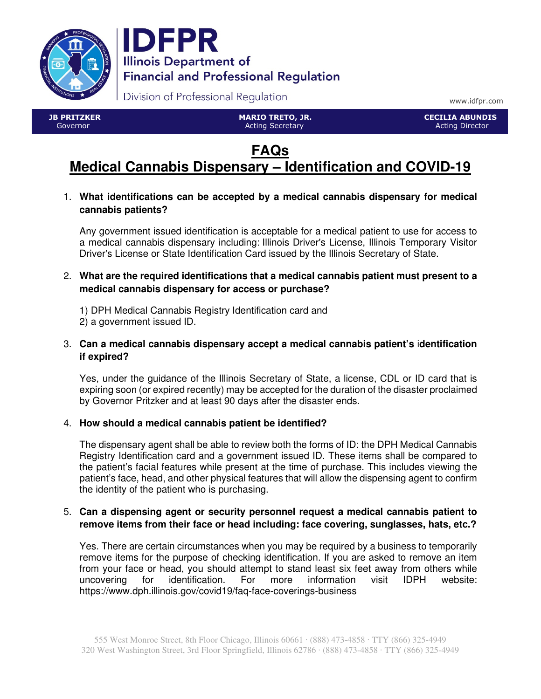



Division of Professional Regulation

www.idfpr.com

 JB PRITZKER Governor

 MARIO TRETO, JR. Acting Secretary

 CECILIA ABUNDIS Acting Director

# **FAQs Medical Cannabis Dispensary – Identification and COVID-19**

1. **What identifications can be accepted by a medical cannabis dispensary for medical cannabis patients?** 

Any government issued identification is acceptable for a medical patient to use for access to a medical cannabis dispensary including: Illinois Driver's License, Illinois Temporary Visitor Driver's License or State Identification Card issued by the Illinois Secretary of State.

2. **What are the required identifications that a medical cannabis patient must present to a medical cannabis dispensary for access or purchase?**

1) DPH Medical Cannabis Registry Identification card and 2) a government issued ID.

3. **Can a medical cannabis dispensary accept a medical cannabis patient's** i**dentification if expired?** 

Yes, under the guidance of the Illinois Secretary of State, a license, CDL or ID card that is expiring soon (or expired recently) may be accepted for the duration of the disaster proclaimed by Governor Pritzker and at least 90 days after the disaster ends.

# 4. **How should a medical cannabis patient be identified?**

The dispensary agent shall be able to review both the forms of ID: the DPH Medical Cannabis Registry Identification card and a government issued ID. These items shall be compared to the patient's facial features while present at the time of purchase. This includes viewing the patient's face, head, and other physical features that will allow the dispensing agent to confirm the identity of the patient who is purchasing.

## 5. **Can a dispensing agent or security personnel request a medical cannabis patient to remove items from their face or head including: face covering, sunglasses, hats, etc.?**

Yes. There are certain circumstances when you may be required by a business to temporarily remove items for the purpose of checking identification. If you are asked to remove an item from your face or head, you should attempt to stand least six feet away from others while uncovering for identification. For more information visit IDPH website: https://www.dph.illinois.gov/covid19/faq-face-coverings-business